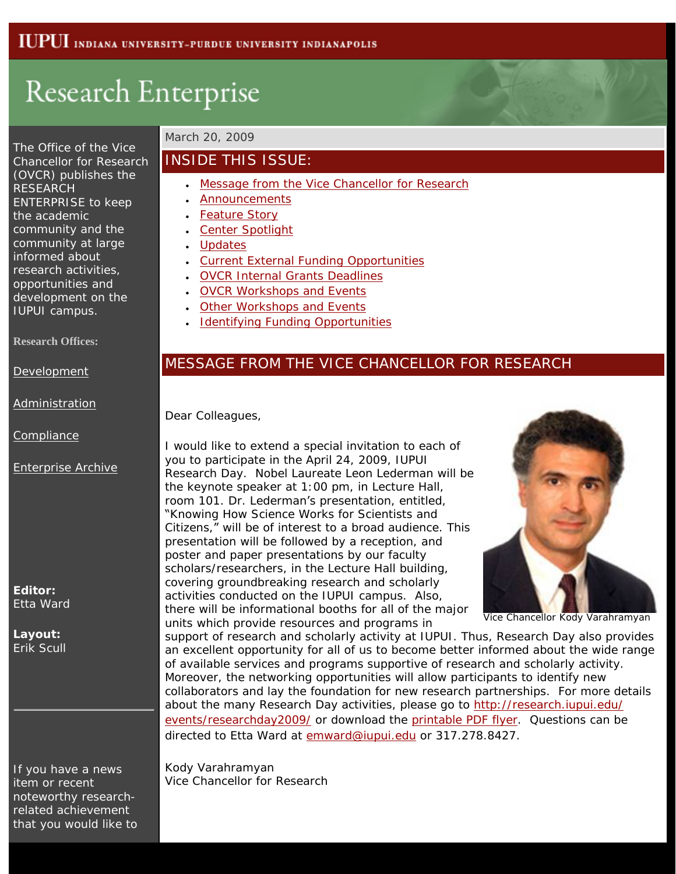# Research Enterprise

The Office of the Vice Chancellor for Research (OVCR) publishes the RESEARCH ENTERPRISE to keep the academic community and the community at large informed about research activities, opportunities and development on the IUPUI campus.

**Research Offices:**

[Development](http://research.iupui.edu/)

[Administration](http://researchadmin.iu.edu/gc.html)

**[Compliance](http://researchadmin.iu.edu/cs.html)** 

[Enterprise Archive](http://www.research.iupui.edu/enterprise/archive/archive.htm)

**Editor:** Etta Ward

**Layout:** Erik Scull

If you have a news item or recent noteworthy researchrelated achievement that you would like to

#### March 20, 2009

## INSIDE THIS ISSUE:

- [Message from the Vice Chancellor for Research](http://www.research.iupui.edu/enterprise/archive/2009/enterprise-03-20.html#message)
- **[Announcements](http://www.research.iupui.edu/enterprise/archive/2009/enterprise-03-20.html#announcements)**
- **[Feature Story](http://www.research.iupui.edu/enterprise/archive/2009/enterprise-03-20.html#feature)**
- [Center Spotlight](http://www.research.iupui.edu/enterprise/archive/2009/enterprise-03-20.html#center)
- **[Updates](http://www.research.iupui.edu/enterprise/archive/2009/enterprise-03-20.html#updates)**
- [Current External Funding Opportunities](http://www.research.iupui.edu/enterprise/archive/2009/enterprise-03-20.html#external)
- [OVCR Internal Grants Deadlines](http://www.research.iupui.edu/enterprise/archive/2009/enterprise-03-20.html#ovcr-internal)
- [OVCR Workshops and Events](http://www.research.iupui.edu/enterprise/archive/2009/enterprise-03-20.html#ovcr-workshops)
- [Other Workshops and Events](http://www.research.iupui.edu/enterprise/archive/2009/enterprise-03-20.html#other-workshops)
- **[Identifying Funding Opportunities](http://www.research.iupui.edu/enterprise/archive/2009/enterprise-03-20.html#findingfunding)**

## MESSAGE FROM THE VICE CHANCELLOR FOR RESEARCH

Dear Colleagues,

I would like to extend a special invitation to each of you to participate in the April 24, 2009, IUPUI Research Day. Nobel Laureate Leon Lederman will be the keynote speaker at 1:00 pm, in Lecture Hall, room 101. Dr. Lederman's presentation, entitled, "Knowing How Science Works for Scientists and Citizens," will be of interest to a broad audience. This presentation will be followed by a reception, and poster and paper presentations by our faculty scholars/researchers, in the Lecture Hall building, covering groundbreaking research and scholarly activities conducted on the IUPUI campus. Also, there will be informational booths for all of the major units which provide resources and programs in



Vice Chancellor Kody Varahramyan

support of research and scholarly activity at IUPUI. Thus, Research Day also provides an excellent opportunity for all of us to become better informed about the wide range of available services and programs supportive of research and scholarly activity. Moreover, the networking opportunities will allow participants to identify new collaborators and lay the foundation for new research partnerships. For more details about the many Research Day activities, please go to [http://research.iupui.edu/](http://research.iupui.edu/events/researchday2009/) [events/researchday2009/](http://research.iupui.edu/events/researchday2009/) or download the [printable PDF flyer.](http://research.iupui.edu/events/researchday2009/pdf/ResearchDayFullAnnouncementFlyerFinal.pdf) Questions can be directed to Etta Ward at [emward@iupui.edu](mailto:emward@iupui.edu) or 317.278.8427.

Kody Varahramyan Vice Chancellor for Research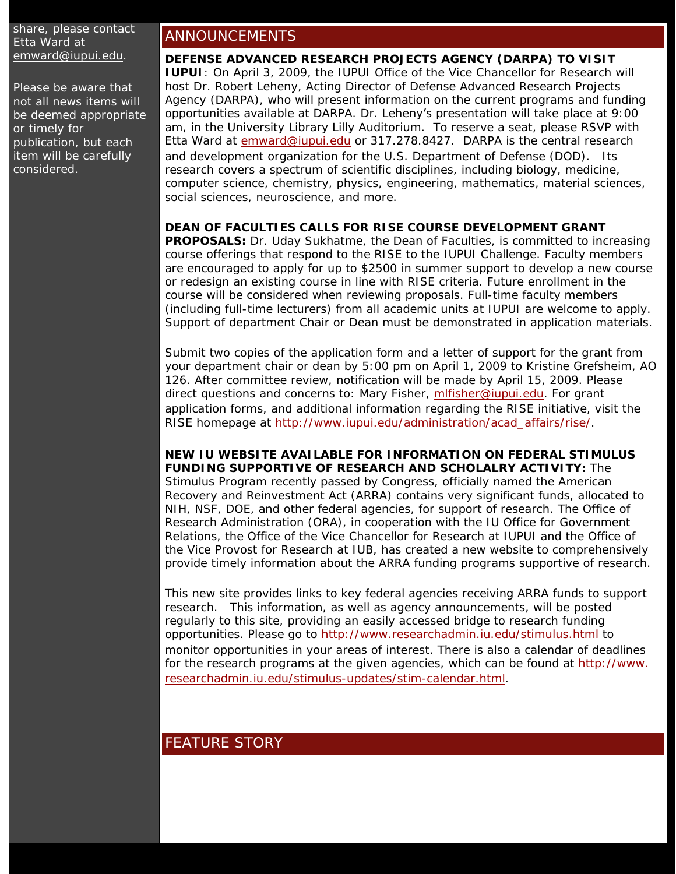share, please contact Etta Ward at [emward@iupui.edu](mailto:emward@iupui.edu).

Please be aware that not all news items will be deemed appropriate or timely for publication, but each item will be carefully considered.

## ANNOUNCEMENTS

#### **DEFENSE ADVANCED RESEARCH PROJECTS AGENCY (DARPA) TO VISIT**

**IUPUI**: On April 3, 2009, the IUPUI Office of the Vice Chancellor for Research will host Dr. Robert Leheny, Acting Director of Defense Advanced Research Projects Agency (DARPA), who will present information on the current programs and funding opportunities available at DARPA. Dr. Leheny's presentation will take place at 9:00 am, in the University Library Lilly Auditorium. To reserve a seat, please RSVP with Etta Ward at [emward@iupui.edu](mailto:emward@iupui.edu) or 317.278.8427. DARPA is the central research and development organization for the U.S. Department of Defense (DOD). Its research covers a spectrum of scientific disciplines, including biology, medicine, computer science, chemistry, physics, engineering, mathematics, material sciences, social sciences, neuroscience, and more.

#### **DEAN OF FACULTIES CALLS FOR RISE COURSE DEVELOPMENT GRANT**

**PROPOSALS:** Dr. Uday Sukhatme, the Dean of Faculties, is committed to increasing course offerings that respond to the RISE to the IUPUI Challenge. Faculty members are encouraged to apply for up to \$2500 in summer support to develop a new course or redesign an existing course in line with RISE criteria. Future enrollment in the course will be considered when reviewing proposals. Full-time faculty members (including full-time lecturers) from all academic units at IUPUI are welcome to apply. Support of department Chair or Dean must be demonstrated in application materials.

Submit two copies of the application form and a letter of support for the grant from your department chair or dean by 5:00 pm on April 1, 2009 to Kristine Grefsheim, AO 126. After committee review, notification will be made by April 15, 2009. Please direct questions and concerns to: Mary Fisher, [mlfisher@iupui.edu.](mailto:mlfisher@iupui.edu) For grant application forms, and additional information regarding the RISE initiative, visit the RISE homepage at [http://www.iupui.edu/administration/acad\\_affairs/rise/](http://www.iupui.edu/administration/acad_affairs/rise/).

**NEW IU WEBSITE AVAILABLE FOR INFORMATION ON FEDERAL STIMULUS FUNDING SUPPORTIVE OF RESEARCH AND SCHOLALRY ACTIVITY:** The Stimulus Program recently passed by Congress, officially named the American Recovery and Reinvestment Act (ARRA) contains very significant funds, allocated to NIH, NSF, DOE, and other federal agencies, for support of research. The Office of Research Administration (ORA), in cooperation with the IU Office for Government Relations, the Office of the Vice Chancellor for Research at IUPUI and the Office of the Vice Provost for Research at IUB, has created a new website to comprehensively provide timely information about the ARRA funding programs supportive of research.

This new site provides links to key federal agencies receiving ARRA funds to support research. This information, as well as agency announcements, will be posted regularly to this site, providing an easily accessed bridge to research funding opportunities. Please go to<http://www.researchadmin.iu.edu/stimulus.html> to monitor opportunities in your areas of interest. There is also a calendar of deadlines for the research programs at the given agencies, which can be found at [http://www.](http://www.researchadmin.iu.edu/stimulus-updates/stim-calendar.html) [researchadmin.iu.edu/stimulus-updates/stim-calendar.html.](http://www.researchadmin.iu.edu/stimulus-updates/stim-calendar.html)

## FEATURE STORY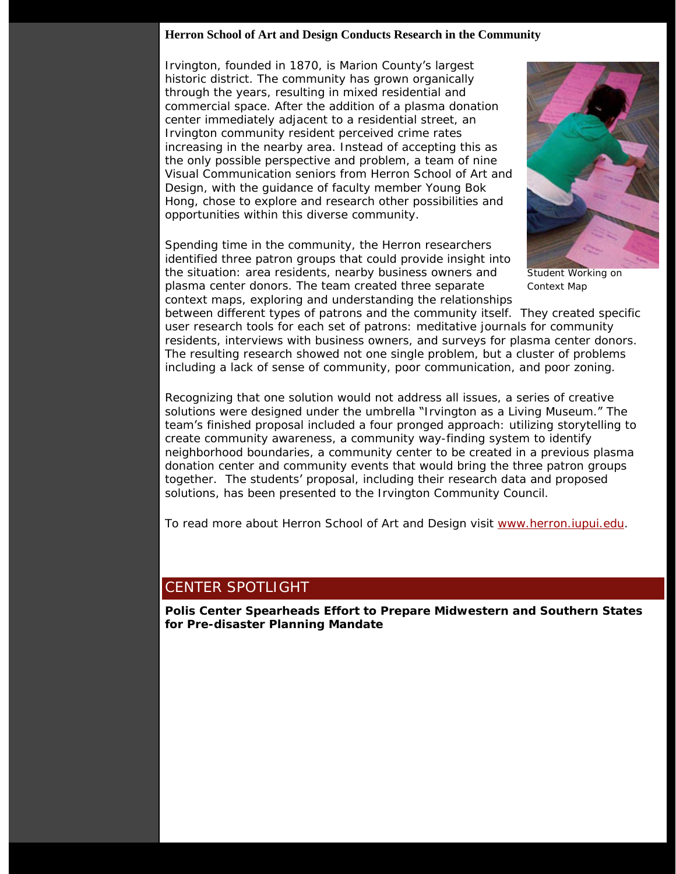#### **Herron School of Art and Design Conducts Research in the Community**

Irvington, founded in 1870, is Marion County's largest historic district. The community has grown organically through the years, resulting in mixed residential and commercial space. After the addition of a plasma donation center immediately adjacent to a residential street, an Irvington community resident perceived crime rates increasing in the nearby area. Instead of accepting this as the only possible perspective and problem, a team of nine Visual Communication seniors from Herron School of Art and Design, with the guidance of faculty member Young Bok Hong, chose to explore and research other possibilities and opportunities within this diverse community.

Spending time in the community, the Herron researchers identified three patron groups that could provide insight into the situation: area residents, nearby business owners and plasma center donors. The team created three separate context maps, exploring and understanding the relationships



Student Working on Context Map

between different types of patrons and the community itself. They created specific user research tools for each set of patrons: meditative journals for community residents, interviews with business owners, and surveys for plasma center donors. The resulting research showed not one single problem, but a cluster of problems including a lack of sense of community, poor communication, and poor zoning.

Recognizing that one solution would not address all issues, a series of creative solutions were designed under the umbrella "Irvington as a Living Museum." The team's finished proposal included a four pronged approach: utilizing storytelling to create community awareness, a community way-finding system to identify neighborhood boundaries, a community center to be created in a previous plasma donation center and community events that would bring the three patron groups together. The students' proposal, including their research data and proposed solutions, has been presented to the Irvington Community Council.

To read more about Herron School of Art and Design visit [www.herron.iupui.edu.](http://www.herron.iupui.edu/)

## CENTER SPOTLIGHT

**Polis Center Spearheads Effort to Prepare Midwestern and Southern States for Pre-disaster Planning Mandate**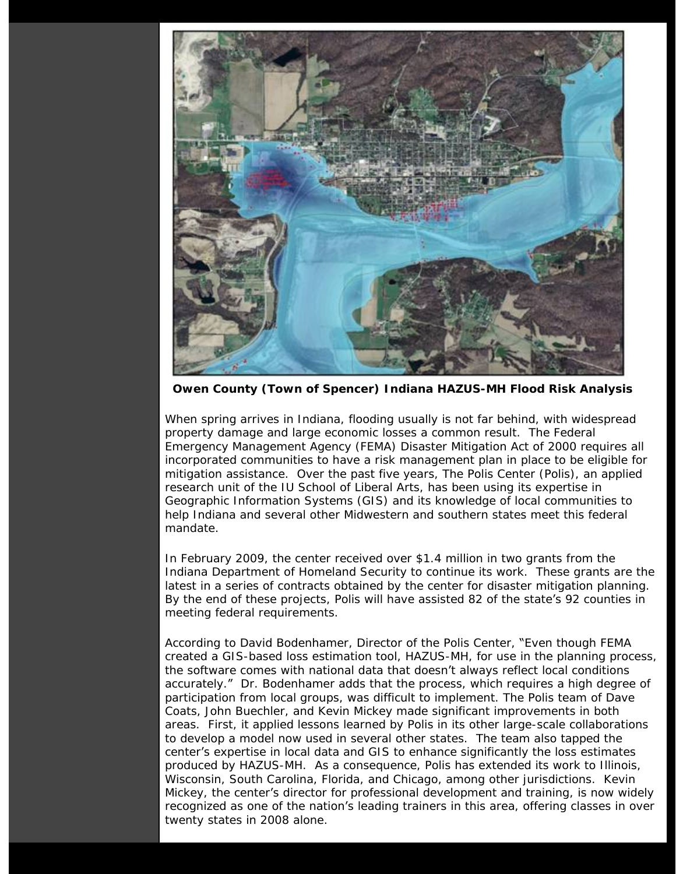

 **Owen County (Town of Spencer) Indiana HAZUS-MH Flood Risk Analysis**

When spring arrives in Indiana, flooding usually is not far behind, with widespread property damage and large economic losses a common result. The Federal Emergency Management Agency (FEMA) Disaster Mitigation Act of 2000 requires all incorporated communities to have a risk management plan in place to be eligible for mitigation assistance. Over the past five years, The Polis Center (Polis), an applied research unit of the IU School of Liberal Arts, has been using its expertise in Geographic Information Systems (GIS) and its knowledge of local communities to help Indiana and several other Midwestern and southern states meet this federal mandate.

In February 2009, the center received over \$1.4 million in two grants from the Indiana Department of Homeland Security to continue its work. These grants are the latest in a series of contracts obtained by the center for disaster mitigation planning. By the end of these projects, Polis will have assisted 82 of the state's 92 counties in meeting federal requirements.

According to David Bodenhamer, Director of the Polis Center, "Even though FEMA created a GIS-based loss estimation tool, HAZUS-MH, for use in the planning process, the software comes with national data that doesn't always reflect local conditions accurately." Dr. Bodenhamer adds that the process, which requires a high degree of participation from local groups, was difficult to implement. The Polis team of Dave Coats, John Buechler, and Kevin Mickey made significant improvements in both areas. First, it applied lessons learned by Polis in its other large-scale collaborations to develop a model now used in several other states. The team also tapped the center's expertise in local data and GIS to enhance significantly the loss estimates produced by HAZUS-MH. As a consequence, Polis has extended its work to Illinois, Wisconsin, South Carolina, Florida, and Chicago, among other jurisdictions. Kevin Mickey, the center's director for professional development and training, is now widely recognized as one of the nation's leading trainers in this area, offering classes in over twenty states in 2008 alone.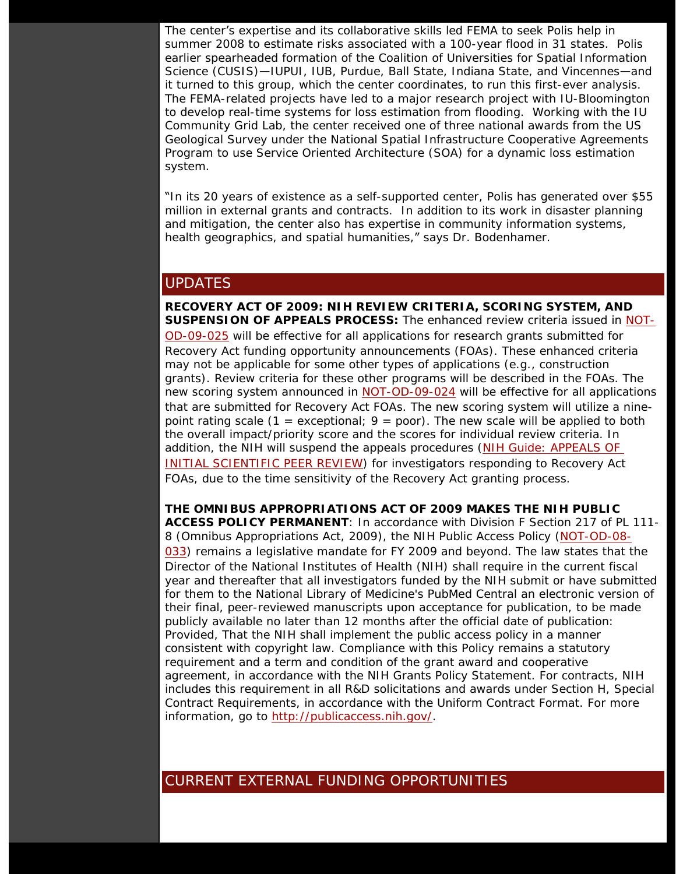The center's expertise and its collaborative skills led FEMA to seek Polis help in summer 2008 to estimate risks associated with a 100-year flood in 31 states. Polis earlier spearheaded formation of the Coalition of Universities for Spatial Information Science (CUSIS)—IUPUI, IUB, Purdue, Ball State, Indiana State, and Vincennes—and it turned to this group, which the center coordinates, to run this first-ever analysis. The FEMA-related projects have led to a major research project with IU-Bloomington to develop real-time systems for loss estimation from flooding. Working with the IU Community Grid Lab, the center received one of three national awards from the US Geological Survey under the National Spatial Infrastructure Cooperative Agreements Program to use Service Oriented Architecture (SOA) for a dynamic loss estimation system.

"In its 20 years of existence as a self-supported center, Polis has generated over \$55 million in external grants and contracts. In addition to its work in disaster planning and mitigation, the center also has expertise in community information systems, health geographics, and spatial humanities," says Dr. Bodenhamer.

#### UPDATES

**RECOVERY ACT OF 2009: NIH REVIEW CRITERIA, SCORING SYSTEM, AND SUSPENSION OF APPEALS PROCESS:** The enhanced review criteria issued in [NOT-](http://grants.nih.gov/grants/guide/notice-files/NOT-OD-09-025.html)[OD-09-025](http://grants.nih.gov/grants/guide/notice-files/NOT-OD-09-025.html) will be effective for all applications for research grants submitted for Recovery Act funding opportunity announcements (FOAs). These enhanced criteria may not be applicable for some other types of applications (e.g., construction grants). Review criteria for these other programs will be described in the FOAs. The new scoring system announced in [NOT-OD-09-024](http://grants.nih.gov/grants/guide/notice-files/NOT-OD-09-024.html) will be effective for all applications that are submitted for Recovery Act FOAs. The new scoring system will utilize a ninepoint rating scale  $(1 =$  exceptional;  $9 =$  poor). The new scale will be applied to both the overall impact/priority score and the scores for individual review criteria. In addition, the NIH will suspend the appeals procedures [\(NIH Guide: APPEALS OF](http://grants.nih.gov/grants/guide/notice-files/not97-232.html) [INITIAL SCIENTIFIC PEER REVIEW\)](http://grants.nih.gov/grants/guide/notice-files/not97-232.html) for investigators responding to Recovery Act FOAs, due to the time sensitivity of the Recovery Act granting process.

**THE OMNIBUS APPROPRIATIONS ACT OF 2009 MAKES THE NIH PUBLIC ACCESS POLICY PERMANENT**: In accordance with Division F Section 217 of PL 111- 8 (Omnibus Appropriations Act, 2009), the NIH Public Access Policy [\(NOT-OD-08-](https://www.exchange.iu.edu/owa/redir.aspx?C=d5e6c62eaa5a4dd7b7641c224a4b75ec&URL=http%3a%2f%2fgrants.nih.gov%2fgrants%2fguide%2fnotice-files%2fNOT-OD-08-033.html) [033](https://www.exchange.iu.edu/owa/redir.aspx?C=d5e6c62eaa5a4dd7b7641c224a4b75ec&URL=http%3a%2f%2fgrants.nih.gov%2fgrants%2fguide%2fnotice-files%2fNOT-OD-08-033.html)) remains a legislative mandate for FY 2009 and beyond. The law states that the Director of the National Institutes of Health (NIH) shall require in the current fiscal year and thereafter that all investigators funded by the NIH submit or have submitted for them to the National Library of Medicine's PubMed Central an electronic version of their final, peer-reviewed manuscripts upon acceptance for publication, to be made publicly available no later than 12 months after the official date of publication: Provided, That the NIH shall implement the public access policy in a manner consistent with copyright law. Compliance with this Policy remains a statutory requirement and a term and condition of the grant award and cooperative agreement, in accordance with the NIH Grants Policy Statement. For contracts, NIH includes this requirement in all R&D solicitations and awards under Section H, Special Contract Requirements, in accordance with the Uniform Contract Format. For more information, go to [http://publicaccess.nih.gov/.](https://www.exchange.iu.edu/owa/redir.aspx?C=d5e6c62eaa5a4dd7b7641c224a4b75ec&URL=http%3a%2f%2fpublicaccess.nih.gov%2f)

## CURRENT EXTERNAL FUNDING OPPORTUNITIES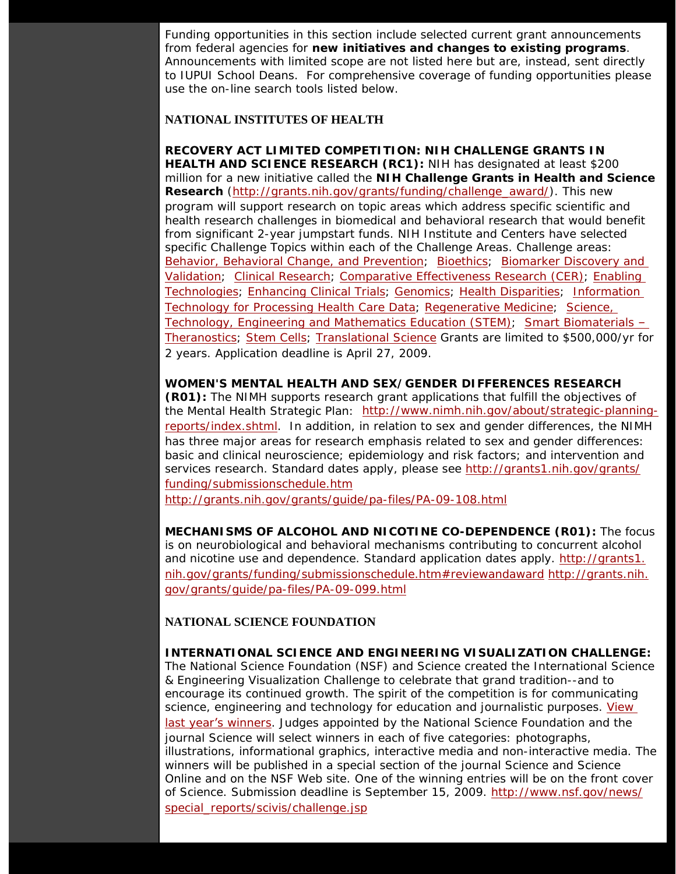Funding opportunities in this section include selected current grant announcements from federal agencies for **new initiatives and changes to existing programs**. Announcements with limited scope are not listed here but are, instead, sent directly to IUPUI School Deans. For comprehensive coverage of funding opportunities please use the on-line search tools listed below.

#### **NATIONAL INSTITUTES OF HEALTH**

**RECOVERY ACT LIMITED COMPETITION: NIH CHALLENGE GRANTS IN HEALTH AND SCIENCE RESEARCH (RC1):** NIH has designated at least \$200 million for a new initiative called the **NIH Challenge Grants in Health and Science Research** ([http://grants.nih.gov/grants/funding/challenge\\_award/\)](http://grants.nih.gov/grants/funding/challenge_award/). This new program will support research on topic areas which address specific scientific and health research challenges in biomedical and behavioral research that would benefit from significant 2-year jumpstart funds. NIH Institute and Centers have selected specific Challenge Topics within each of the Challenge Areas. Challenge areas: [Behavior, Behavioral Change, and Prevention](http://grants.nih.gov/grants/funding/challenge_award/High_Priority_Topics.pdf#topic_01); [Bioethics](http://grants.nih.gov/grants/funding/challenge_award/High_Priority_Topics.pdf#topic_02); [Biomarker Discovery and](http://grants.nih.gov/grants/funding/challenge_award/High_Priority_Topics.pdf#topic_03)  [Validation](http://grants.nih.gov/grants/funding/challenge_award/High_Priority_Topics.pdf#topic_03); [Clinical Research;](http://grants.nih.gov/grants/funding/challenge_award/High_Priority_Topics.pdf#topic_04) [Comparative Effectiveness Research \(CER\)](http://grants.nih.gov/grants/funding/challenge_award/High_Priority_Topics.pdf#topic_05); [Enabling](http://grants.nih.gov/grants/funding/challenge_award/High_Priority_Topics.pdf#topic_06) [Technologies](http://grants.nih.gov/grants/funding/challenge_award/High_Priority_Topics.pdf#topic_06); [Enhancing Clinical Trials](http://grants.nih.gov/grants/funding/challenge_award/High_Priority_Topics.pdf#topic_07); [Genomics;](http://grants.nih.gov/grants/funding/challenge_award/High_Priority_Topics.pdf#topic_08) [Health Disparities](http://grants.nih.gov/grants/funding/challenge_award/High_Priority_Topics.pdf#topic_09); [Information](http://grants.nih.gov/grants/funding/challenge_award/High_Priority_Topics.pdf#topic_10) [Technology for Processing Health Care Data;](http://grants.nih.gov/grants/funding/challenge_award/High_Priority_Topics.pdf#topic_10) [Regenerative Medicine](http://grants.nih.gov/grants/funding/challenge_award/High_Priority_Topics.pdf#topic_11); [Science,](http://grants.nih.gov/grants/funding/challenge_award/High_Priority_Topics.pdf#topic_12) [Technology, Engineering and Mathematics Education \(STEM\);](http://grants.nih.gov/grants/funding/challenge_award/High_Priority_Topics.pdf#topic_12) [Smart Biomaterials](http://grants.nih.gov/grants/funding/challenge_award/High_Priority_Topics.pdf#topic_13) – [Theranostics;](http://grants.nih.gov/grants/funding/challenge_award/High_Priority_Topics.pdf#topic_13) [Stem Cells;](http://grants.nih.gov/grants/funding/challenge_award/High_Priority_Topics.pdf#topic_14) [Translational Science](http://grants.nih.gov/grants/funding/challenge_award/High_Priority_Topics.pdf#topic_15) Grants are limited to \$500,000/yr for 2 years. Application deadline is April 27, 2009.

**WOMEN'S MENTAL HEALTH AND SEX/GENDER DIFFERENCES RESEARCH (R01):** The NIMH supports research grant applications that fulfill the objectives of the Mental Health Strategic Plan: [http://www.nimh.nih.gov/about/strategic-planning](http://www.nimh.nih.gov/about/strategic-planning-reports/index.shtml)[reports/index.shtml](http://www.nimh.nih.gov/about/strategic-planning-reports/index.shtml). In addition, in relation to sex and gender differences, the NIMH has three major areas for research emphasis related to sex and gender differences: basic and clinical neuroscience; epidemiology and risk factors; and intervention and services research. Standard dates apply, please see [http://grants1.nih.gov/grants/](http://grants1.nih.gov/grants/funding/submissionschedule.htm) [funding/submissionschedule.htm](http://grants1.nih.gov/grants/funding/submissionschedule.htm)

<http://grants.nih.gov/grants/guide/pa-files/PA-09-108.html>

**MECHANISMS OF ALCOHOL AND NICOTINE CO-DEPENDENCE (R01):** The focus is on neurobiological and behavioral mechanisms contributing to concurrent alcohol and nicotine use and dependence. Standard application dates apply. [http://grants1.](http://grants1.nih.gov/grants/funding/submissionschedule.htm#reviewandaward) [nih.gov/grants/funding/submissionschedule.htm#reviewandaward](http://grants1.nih.gov/grants/funding/submissionschedule.htm#reviewandaward) [http://grants.nih.](http://grants.nih.gov/grants/guide/pa-files/PA-09-099.html) [gov/grants/guide/pa-files/PA-09-099.html](http://grants.nih.gov/grants/guide/pa-files/PA-09-099.html)

#### **NATIONAL SCIENCE FOUNDATION**

**INTERNATIONAL SCIENCE AND ENGINEERING VISUALIZATION CHALLENGE:** The National Science Foundation (NSF) and *Science* created the International Science & Engineering Visualization Challenge to celebrate that grand tradition--and to encourage its continued growth. The spirit of the competition is for communicating science, engineering and technology for education and journalistic purposes. [View](http://www.nsf.gov/news/special_reports/scivis/winners_2008.jsp) last year'[s winners](http://www.nsf.gov/news/special_reports/scivis/winners_2008.jsp). Judges appointed by the National Science Foundation and the journal *Science* will select winners in each of five categories: photographs, illustrations, informational graphics, interactive media and non-interactive media. The winners will be published in a special section of the journal *Science* and *Science Online* and on the NSF Web site. One of the winning entries will be on the front cover of *Science*. Submission deadline is September 15, 2009. [http://www.nsf.gov/news/](http://www.nsf.gov/news/special_reports/scivis/challenge.jsp) [special\\_reports/scivis/challenge.jsp](http://www.nsf.gov/news/special_reports/scivis/challenge.jsp)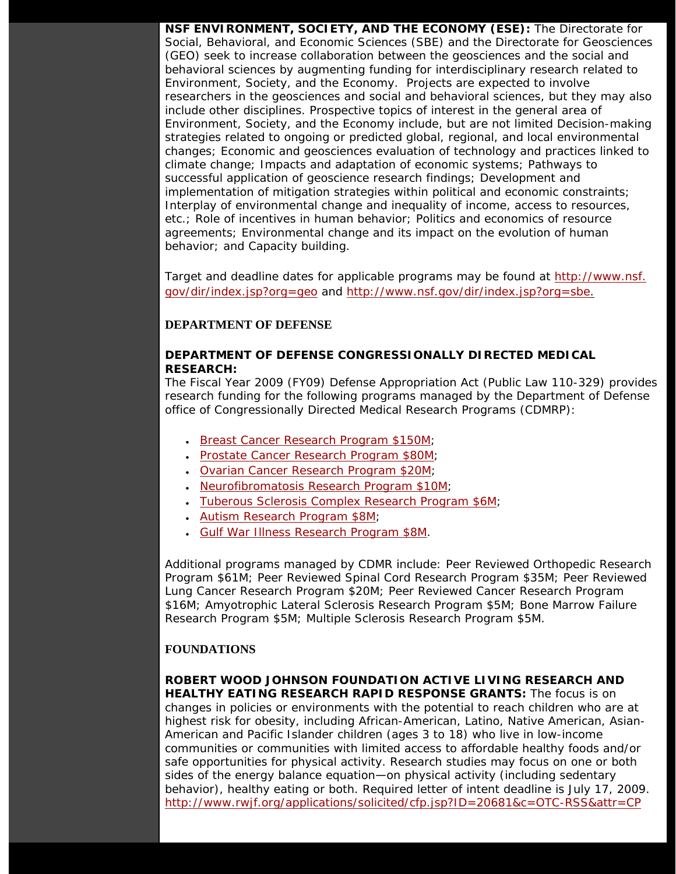**NSF ENVIRONMENT, SOCIETY, AND THE ECONOMY (ESE):** The Directorate for Social, Behavioral, and Economic Sciences (SBE) and the Directorate for Geosciences (GEO) seek to increase collaboration between the geosciences and the social and behavioral sciences by augmenting funding for interdisciplinary research related to Environment, Society, and the Economy. Projects are expected to involve researchers in the geosciences and social and behavioral sciences, but they may also include other disciplines. Prospective topics of interest in the general area of Environment, Society, and the Economy include, but are not limited Decision-making strategies related to ongoing or predicted global, regional, and local environmental changes; Economic and geosciences evaluation of technology and practices linked to climate change; Impacts and adaptation of economic systems; Pathways to successful application of geoscience research findings; Development and implementation of mitigation strategies within political and economic constraints; Interplay of environmental change and inequality of income, access to resources, etc.; Role of incentives in human behavior; Politics and economics of resource agreements; Environmental change and its impact on the evolution of human behavior; and Capacity building.

Target and deadline dates for applicable programs may be found at [http://www.nsf.](http://www.nsf.gov/dir/index.jsp?org=geo) [gov/dir/index.jsp?org=geo](http://www.nsf.gov/dir/index.jsp?org=geo) and [http://www.nsf.gov/dir/index.jsp?org=sbe.](http://www.nsf.gov/dir/index.jsp?org=sbe)

#### **DEPARTMENT OF DEFENSE**

#### **DEPARTMENT OF DEFENSE CONGRESSIONALLY DIRECTED MEDICAL RESEARCH:**

The Fiscal Year 2009 (FY09) Defense Appropriation Act (Public Law 110-329) provides research funding for the following programs managed by the Department of Defense office of Congressionally Directed Medical Research Programs (CDMRP):

- [Breast Cancer Research Program \\$](http://cdmrp.army.mil/funding/bcrp.htm)*150M;*
- *[Prostate Cancer Research Program \\$80M](http://cdmrp.army.mil/funding/pcrp.htm);*
- *[Ovarian Cancer Research Program \\$20M](http://cdmrp.army.mil/funding/ocrp.htm)*;
- [Neurofibromatosis Research Program \\$10M;](http://cdmrp.army.mil/funding/nfrp.htm)
- [Tuberous Sclerosis Complex Research Program \\$6M](http://cdmrp.army.mil/funding/tscrp.htm);
- [Autism Research Program \\$8M](http://cdmrp.army.mil/arp/default.htm);
- [Gulf War Illness Research Program \\$8M.](http://cdmrp.army.mil/gwirp/default.htm)

Additional programs managed by CDMR include: Peer Reviewed Orthopedic Research Program \$61M; Peer Reviewed Spinal Cord Research Program \$35M; Peer Reviewed Lung Cancer Research Program \$20M; Peer Reviewed Cancer Research Program \$16M; Amyotrophic Lateral Sclerosis Research Program \$5M; Bone Marrow Failure Research Program \$5M; Multiple Sclerosis Research Program \$5M.

#### **FOUNDATIONS**

**ROBERT WOOD JOHNSON FOUNDATION ACTIVE LIVING RESEARCH AND HEALTHY EATING RESEARCH RAPID RESPONSE GRANTS:** The focus is on changes in policies or environments with the potential to reach children who are at highest risk for obesity, including African-American, Latino, Native American, Asian-American and Pacific Islander children (ages 3 to 18) who live in low-income communities or communities with limited access to affordable healthy foods and/or safe opportunities for physical activity. Research studies may focus on one or both sides of the energy balance equation—on physical activity (including sedentary behavior), healthy eating or both. Required letter of intent deadline is July 17, 2009. <http://www.rwjf.org/applications/solicited/cfp.jsp?ID=20681&c=OTC-RSS&attr=CP>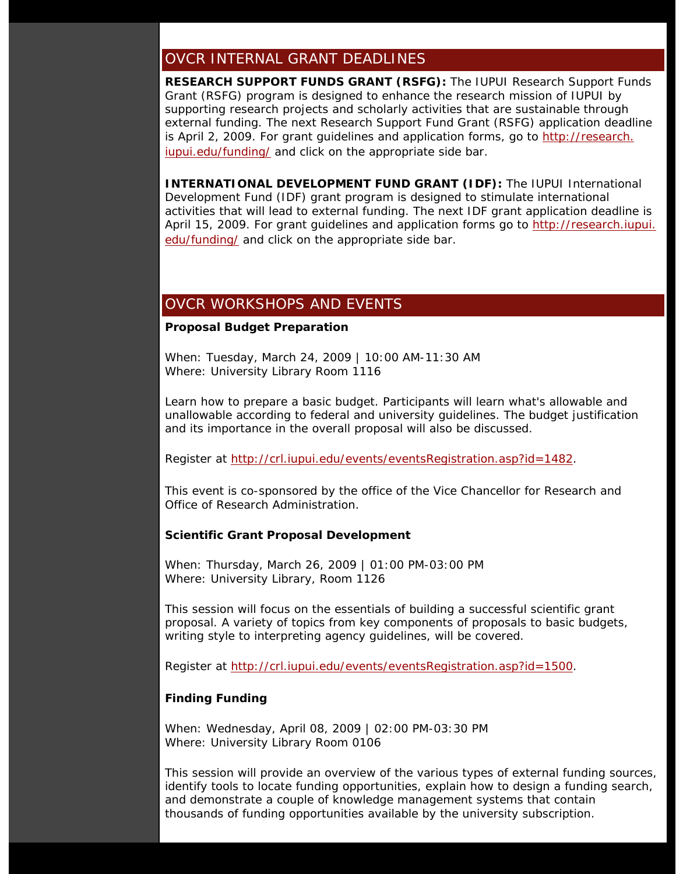## OVCR INTERNAL GRANT DEADLINES

**RESEARCH SUPPORT FUNDS GRANT (RSFG):** The IUPUI Research Support Funds Grant (RSFG) program is designed to enhance the research mission of IUPUI by supporting research projects and scholarly activities that are sustainable through external funding. The next Research Support Fund Grant (RSFG) application deadline is April 2, 2009. For grant guidelines and application forms, go to [http://research.](http://research.iupui.edu/funding/) [iupui.edu/funding/](http://research.iupui.edu/funding/) and click on the appropriate side bar.

**INTERNATIONAL DEVELOPMENT FUND GRANT (IDF):** The IUPUI International Development Fund (IDF) grant program is designed to stimulate international activities that will lead to external funding. The next IDF grant application deadline is April 15, 2009. For grant guidelines and application forms go to [http://research.iupui.](http://research.iupui.edu/funding/) [edu/funding/](http://research.iupui.edu/funding/) and click on the appropriate side bar.

## OVCR WORKSHOPS AND EVENTS

#### **Proposal Budget Preparation**

When: Tuesday, March 24, 2009 | 10:00 AM-11:30 AM Where: University Library Room 1116

Learn how to prepare a basic budget. Participants will learn what's allowable and unallowable according to federal and university guidelines. The budget justification and its importance in the overall proposal will also be discussed.

Register at<http://crl.iupui.edu/events/eventsRegistration.asp?id=1482>.

This event is co-sponsored by the office of the Vice Chancellor for Research and Office of Research Administration.

#### **Scientific Grant Proposal Development**

When: Thursday, March 26, 2009 | 01:00 PM-03:00 PM Where: University Library, Room 1126

This session will focus on the essentials of building a successful scientific grant proposal. A variety of topics from key components of proposals to basic budgets, writing style to interpreting agency guidelines, will be covered.

Register at<http://crl.iupui.edu/events/eventsRegistration.asp?id=1500>.

#### **Finding Funding**

When: Wednesday, April 08, 2009 | 02:00 PM-03:30 PM Where: University Library Room 0106

This session will provide an overview of the various types of external funding sources, identify tools to locate funding opportunities, explain how to design a funding search, and demonstrate a couple of knowledge management systems that contain thousands of funding opportunities available by the university subscription.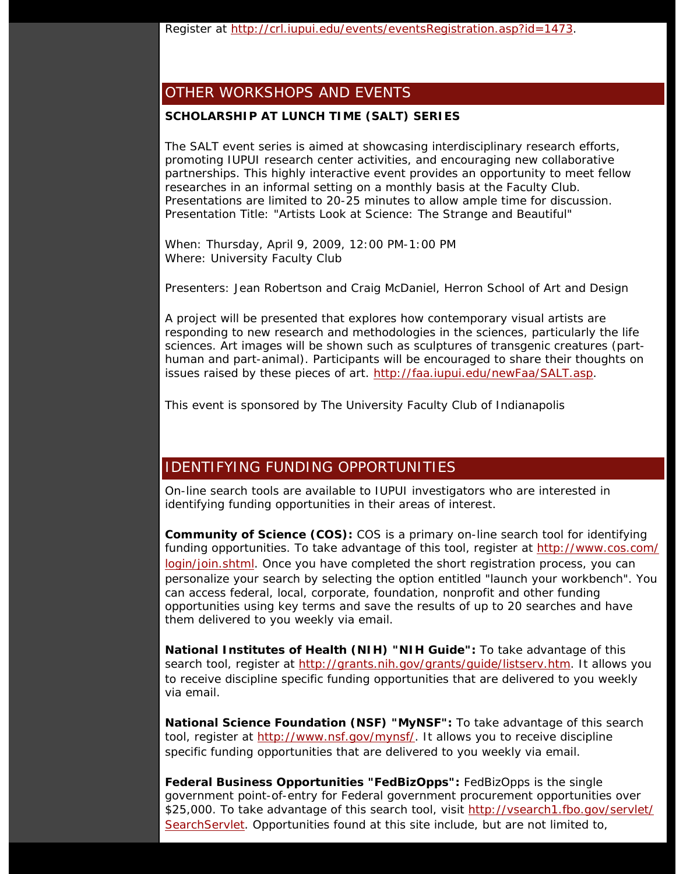Register at<http://crl.iupui.edu/events/eventsRegistration.asp?id=1473>.

## OTHER WORKSHOPS AND EVENTS

#### **SCHOLARSHIP AT LUNCH TIME (SALT) SERIES**

The SALT event series is aimed at showcasing interdisciplinary research efforts, promoting IUPUI research center activities, and encouraging new collaborative partnerships. This highly interactive event provides an opportunity to meet fellow researches in an informal setting on a monthly basis at the Faculty Club. Presentations are limited to 20-25 minutes to allow ample time for discussion. Presentation Title: "Artists Look at Science: The Strange and Beautiful"

When: Thursday, April 9, 2009, 12:00 PM-1:00 PM Where: University Faculty Club

Presenters: Jean Robertson and Craig McDaniel, Herron School of Art and Design

A project will be presented that explores how contemporary visual artists are responding to new research and methodologies in the sciences, particularly the life sciences. Art images will be shown such as sculptures of transgenic creatures (parthuman and part-animal). Participants will be encouraged to share their thoughts on issues raised by these pieces of art.<http://faa.iupui.edu/newFaa/SALT.asp>.

*This event is sponsored by The University Faculty Club of Indianapolis* 

## IDENTIFYING FUNDING OPPORTUNITIES

On-line search tools are available to IUPUI investigators who are interested in identifying funding opportunities in their areas of interest.

**Community of Science (COS):** COS is a primary on-line search tool for identifying funding opportunities. To take advantage of this tool, register at [http://www.cos.com/](http://www.cos.com/login/join.shtml) [login/join.shtml](http://www.cos.com/login/join.shtml). Once you have completed the short registration process, you can personalize your search by selecting the option entitled "launch your workbench". You can access federal, local, corporate, foundation, nonprofit and other funding opportunities using key terms and save the results of up to 20 searches and have them delivered to you weekly via email.

**National Institutes of Health (NIH) "NIH Guide":** To take advantage of this search tool, register at [http://grants.nih.gov/grants/guide/listserv.htm.](http://grants.nih.gov/grants/guide/listserv.htm) It allows you to receive discipline specific funding opportunities that are delivered to you weekly via email.

**National Science Foundation (NSF) "MyNSF":** To take advantage of this search tool, register at [http://www.nsf.gov/mynsf/.](http://www.nsf.gov/mynsf/) It allows you to receive discipline specific funding opportunities that are delivered to you weekly via email.

**Federal Business Opportunities "FedBizOpps":** FedBizOpps is the single government point-of-entry for Federal government procurement opportunities over \$25,000. To take advantage of this search tool, visit [http://vsearch1.fbo.gov/servlet/](http://vsearch1.fbo.gov/servlet/SearchServlet) [SearchServlet.](http://vsearch1.fbo.gov/servlet/SearchServlet) Opportunities found at this site include, but are not limited to,